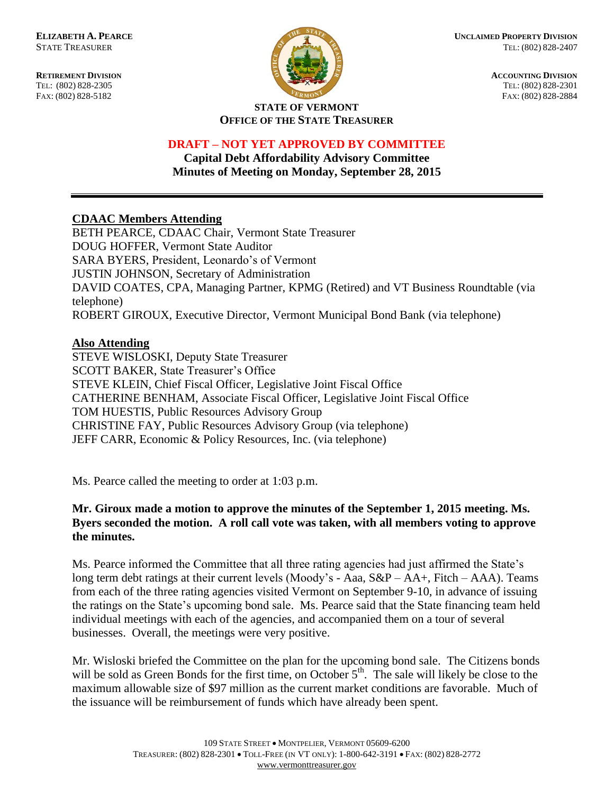FAX: (802) 828-5182



**RETIREMENT DIVISION**<br> **RETIREMENT DIVISION**<br> **ACCOUNTING DIVISION**<br> **RETIREMENT DIVISION**<br> **RETIREMENT DIVISION** TEL: (802) 828-2301<br>FAX: (802) 828-2884

#### **STATE OF VERMONT OFFICE OF THE STATE TREASURER**

# **DRAFT – NOT YET APPROVED BY COMMITTEE**

**Capital Debt Affordability Advisory Committee Minutes of Meeting on Monday, September 28, 2015**

# **CDAAC Members Attending**

BETH PEARCE, CDAAC Chair, Vermont State Treasurer DOUG HOFFER, Vermont State Auditor SARA BYERS, President, Leonardo's of Vermont JUSTIN JOHNSON, Secretary of Administration DAVID COATES, CPA, Managing Partner, KPMG (Retired) and VT Business Roundtable (via telephone) ROBERT GIROUX, Executive Director, Vermont Municipal Bond Bank (via telephone)

## **Also Attending**

STEVE WISLOSKI, Deputy State Treasurer SCOTT BAKER, State Treasurer's Office STEVE KLEIN, Chief Fiscal Officer, Legislative Joint Fiscal Office CATHERINE BENHAM, Associate Fiscal Officer, Legislative Joint Fiscal Office TOM HUESTIS, Public Resources Advisory Group CHRISTINE FAY, Public Resources Advisory Group (via telephone) JEFF CARR, Economic & Policy Resources, Inc. (via telephone)

Ms. Pearce called the meeting to order at 1:03 p.m.

### **Mr. Giroux made a motion to approve the minutes of the September 1, 2015 meeting. Ms. Byers seconded the motion. A roll call vote was taken, with all members voting to approve the minutes.**

Ms. Pearce informed the Committee that all three rating agencies had just affirmed the State's long term debt ratings at their current levels (Moody's - Aaa, S&P – AA+, Fitch – AAA). Teams from each of the three rating agencies visited Vermont on September 9-10, in advance of issuing the ratings on the State's upcoming bond sale. Ms. Pearce said that the State financing team held individual meetings with each of the agencies, and accompanied them on a tour of several businesses. Overall, the meetings were very positive.

Mr. Wisloski briefed the Committee on the plan for the upcoming bond sale. The Citizens bonds will be sold as Green Bonds for the first time, on October 5<sup>th</sup>. The sale will likely be close to the maximum allowable size of \$97 million as the current market conditions are favorable. Much of the issuance will be reimbursement of funds which have already been spent.